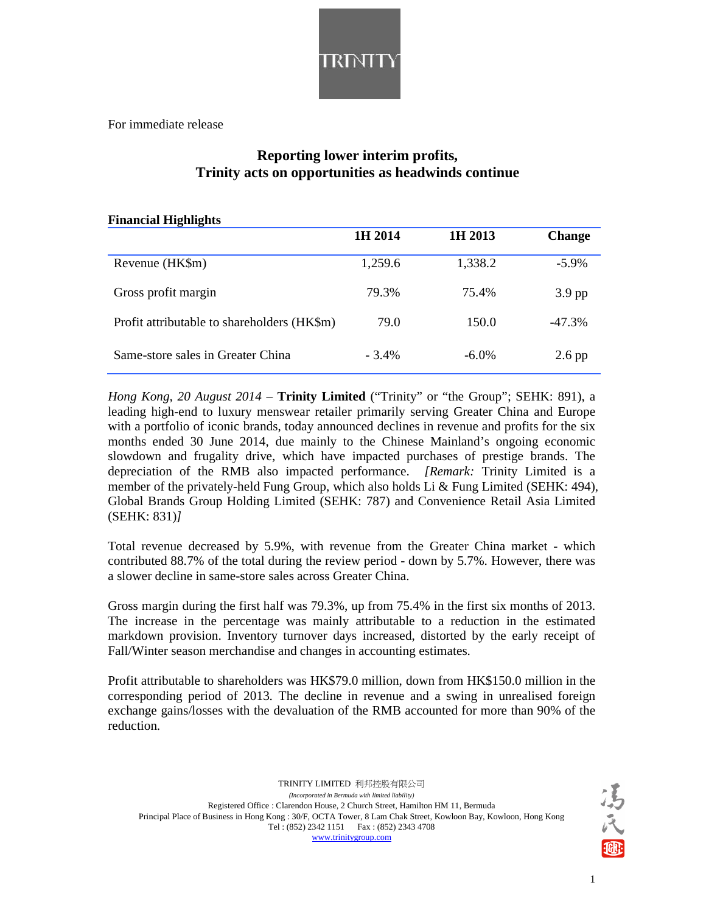

For immediate release

## **Reporting lower interim profits, Trinity acts on opportunities as headwinds continue**

| <b>Financial Highlights</b>                 |          |          |               |  |  |  |
|---------------------------------------------|----------|----------|---------------|--|--|--|
|                                             | 1H 2014  | 1H 2013  | <b>Change</b> |  |  |  |
| Revenue (HK\$m)                             | 1,259.6  | 1,338.2  | $-5.9\%$      |  |  |  |
| Gross profit margin                         | 79.3%    | 75.4%    | $3.9$ pp      |  |  |  |
| Profit attributable to shareholders (HK\$m) | 79.0     | 150.0    | $-47.3\%$     |  |  |  |
| Same-store sales in Greater China           | $-3.4\%$ | $-6.0\%$ | $2.6$ pp      |  |  |  |

*Hong Kong, 20 August 2014* – **Trinity Limited** ("Trinity" or "the Group"; SEHK: 891), a leading high-end to luxury menswear retailer primarily serving Greater China and Europe with a portfolio of iconic brands, today announced declines in revenue and profits for the six months ended 30 June 2014, due mainly to the Chinese Mainland's ongoing economic slowdown and frugality drive, which have impacted purchases of prestige brands. The depreciation of the RMB also impacted performance. *[Remark:* Trinity Limited is a member of the privately-held Fung Group, which also holds Li & Fung Limited (SEHK: 494), Global Brands Group Holding Limited (SEHK: 787) and Convenience Retail Asia Limited (SEHK: 831)*]* 

Total revenue decreased by 5.9%, with revenue from the Greater China market - which contributed 88.7% of the total during the review period - down by 5.7%. However, there was a slower decline in same-store sales across Greater China.

Gross margin during the first half was 79.3%, up from 75.4% in the first six months of 2013. The increase in the percentage was mainly attributable to a reduction in the estimated markdown provision. Inventory turnover days increased, distorted by the early receipt of Fall/Winter season merchandise and changes in accounting estimates.

Profit attributable to shareholders was HK\$79.0 million, down from HK\$150.0 million in the corresponding period of 2013. The decline in revenue and a swing in unrealised foreign exchange gains/losses with the devaluation of the RMB accounted for more than 90% of the reduction.